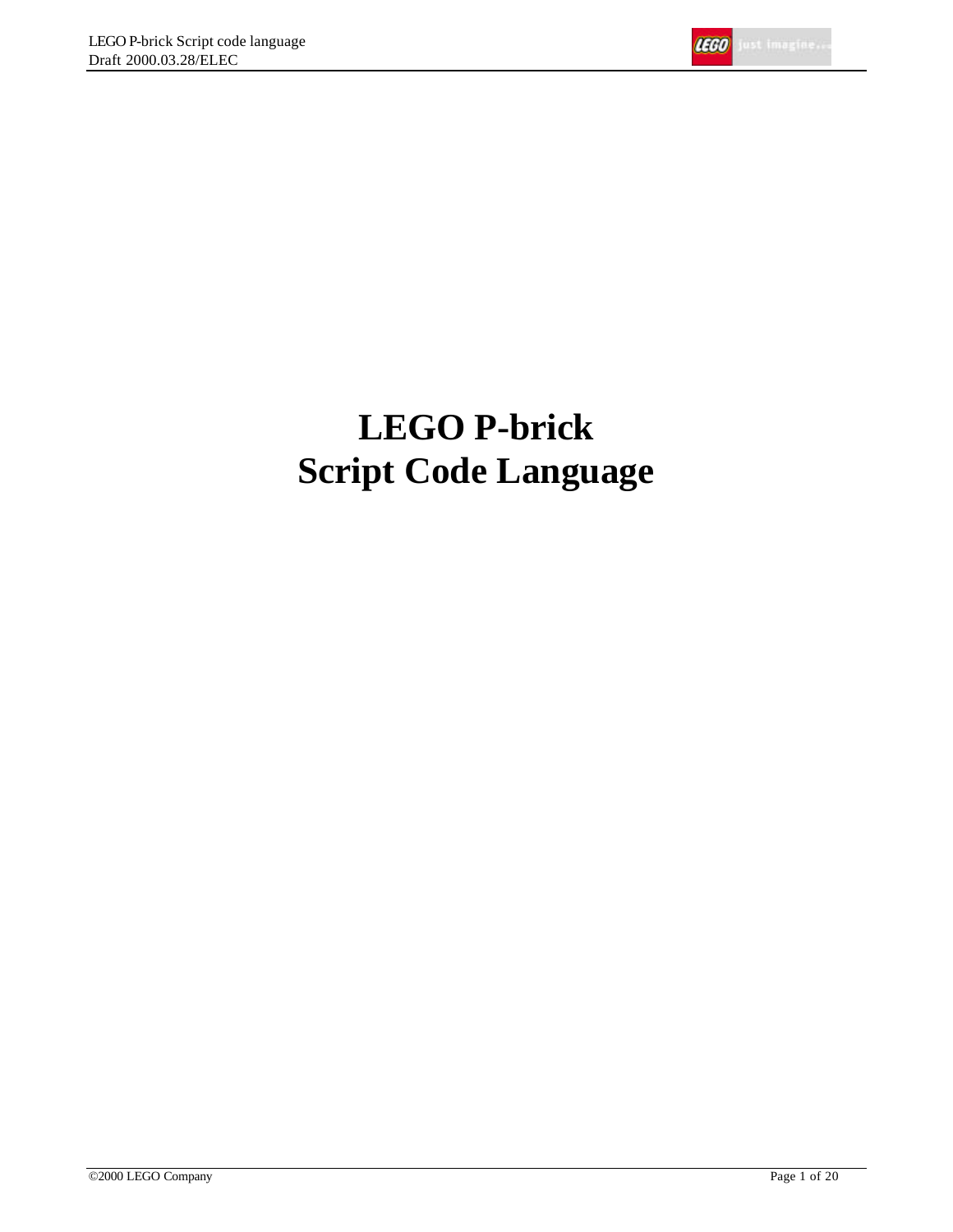

# **LEGO P-brick Script Code Language**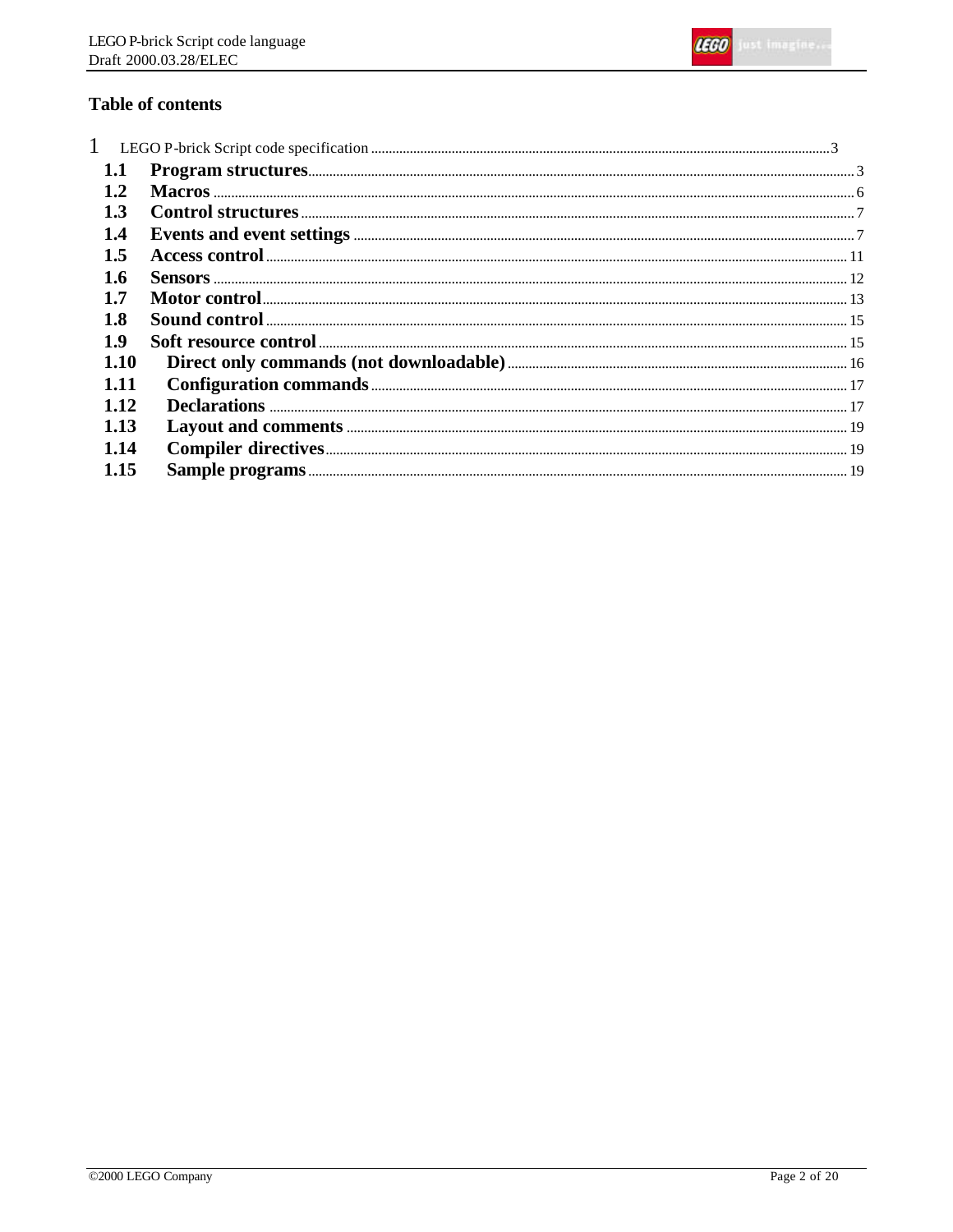

# **Table of contents**

| $\mathbf{1}$  |  |
|---------------|--|
| 1.1           |  |
| $1.2^{\circ}$ |  |
| 1.3           |  |
| 1.4           |  |
| 1.5           |  |
| 1.6           |  |
| 1.7           |  |
| 1.8           |  |
| <b>1.9</b>    |  |
| 1.10          |  |
| 1.11          |  |
| 1.12          |  |
| 1.13          |  |
| 1.14          |  |
| 1.15          |  |
|               |  |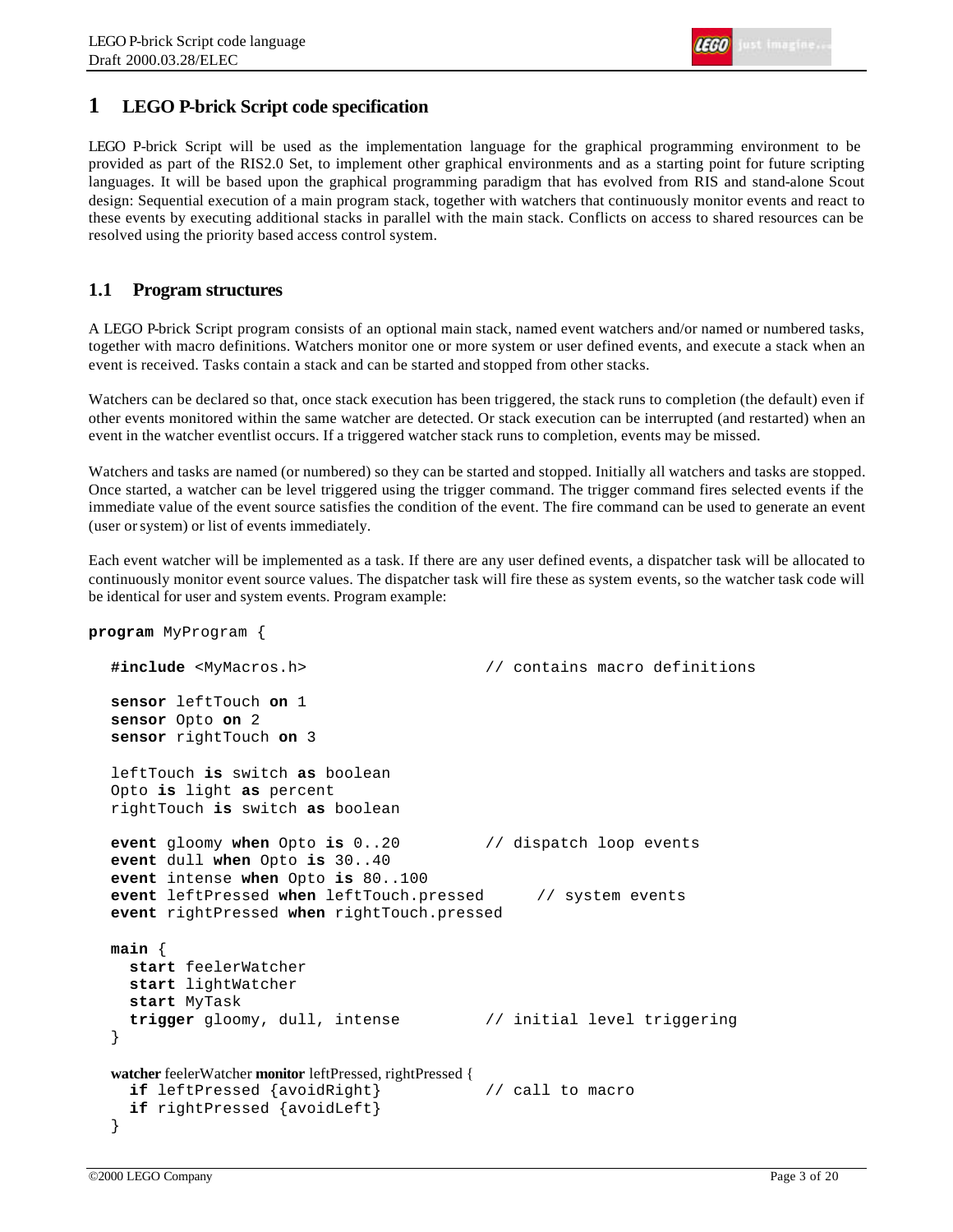# **1 LEGO P-brick Script code specification**

LEGO P-brick Script will be used as the implementation language for the graphical programming environment to be provided as part of the RIS2.0 Set, to implement other graphical environments and as a starting point for future scripting languages. It will be based upon the graphical programming paradigm that has evolved from RIS and stand-alone Scout design: Sequential execution of a main program stack, together with watchers that continuously monitor events and react to these events by executing additional stacks in parallel with the main stack. Conflicts on access to shared resources can be resolved using the priority based access control system.

# **1.1 Program structures**

A LEGO P-brick Script program consists of an optional main stack, named event watchers and/or named or numbered tasks, together with macro definitions. Watchers monitor one or more system or user defined events, and execute a stack when an event is received. Tasks contain a stack and can be started and stopped from other stacks.

Watchers can be declared so that, once stack execution has been triggered, the stack runs to completion (the default) even if other events monitored within the same watcher are detected. Or stack execution can be interrupted (and restarted) when an event in the watcher eventlist occurs. If a triggered watcher stack runs to completion, events may be missed.

Watchers and tasks are named (or numbered) so they can be started and stopped. Initially all watchers and tasks are stopped. Once started, a watcher can be level triggered using the trigger command. The trigger command fires selected events if the immediate value of the event source satisfies the condition of the event. The fire command can be used to generate an event (user or system) or list of events immediately.

Each event watcher will be implemented as a task. If there are any user defined events, a dispatcher task will be allocated to continuously monitor event source values. The dispatcher task will fire these as system events, so the watcher task code will be identical for user and system events. Program example:

```
program MyProgram {
```

```
#include <MyMacros.h> // contains macro definitions
sensor leftTouch on 1
sensor Opto on 2
sensor rightTouch on 3
leftTouch is switch as boolean
Opto is light as percent
rightTouch is switch as boolean
event gloomy when Opto is 0..20 // dispatch loop events
event dull when Opto is 30..40
event intense when Opto is 80..100
event leftPressed when leftTouch.pressed // system events
event rightPressed when rightTouch.pressed
main {
   start feelerWatcher
   start lightWatcher
   start MyTask
   trigger gloomy, dull, intense // initial level triggering
}
watcher feelerWatcher monitor leftPressed, rightPressed {
   if leftPressed {avoidRight} // call to macro
   if rightPressed {avoidLeft}
}
```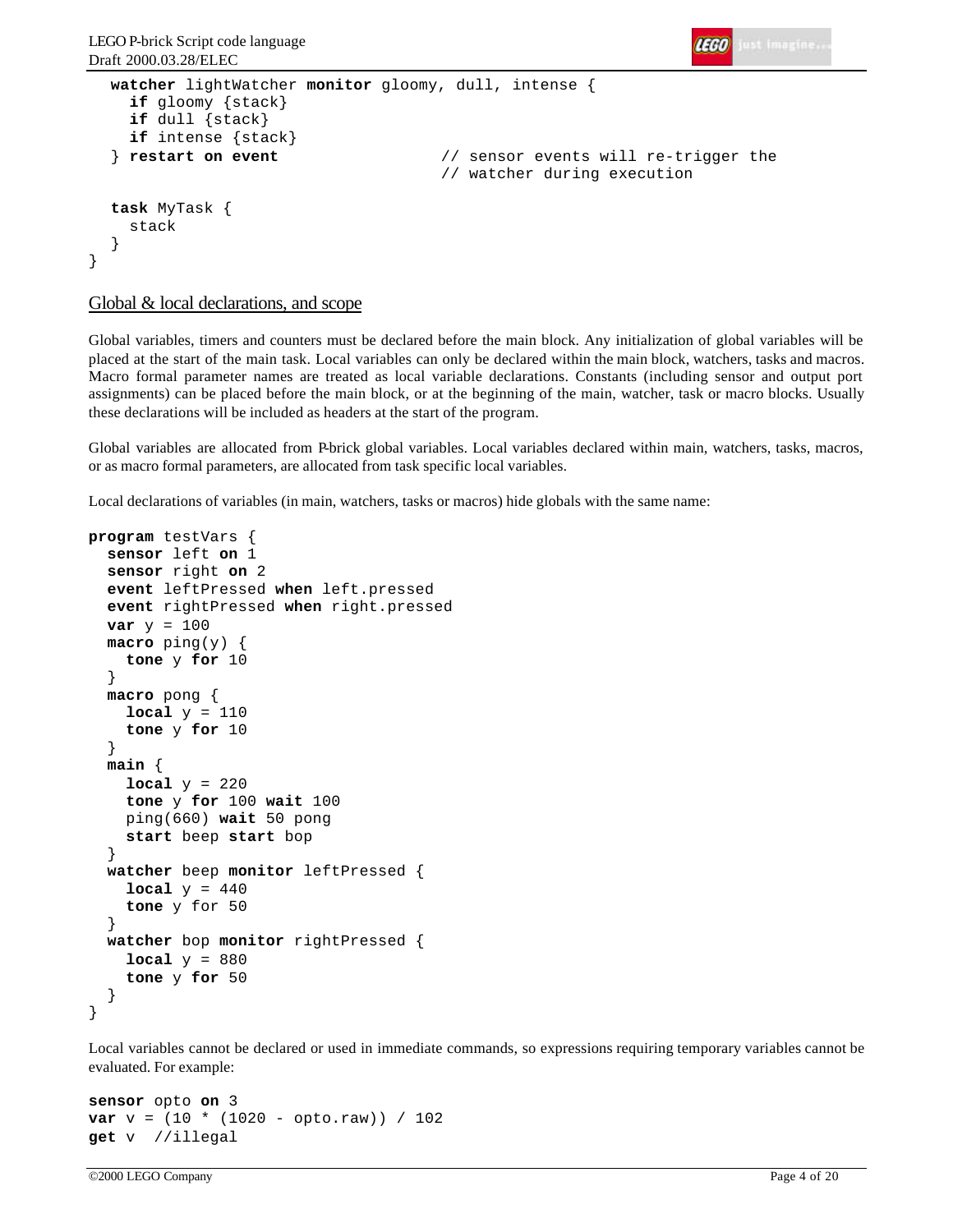

```
watcher lightWatcher monitor gloomy, dull, intense {
     if gloomy {stack} 
     if dull {stack}
     if intense {stack}
  } restart on event // sensor events will re-trigger the
                                     // watcher during execution
  task MyTask {
     stack
  }
}
```
Global & local declarations, and scope

Global variables, timers and counters must be declared before the main block. Any initialization of global variables will be placed at the start of the main task. Local variables can only be declared within the main block, watchers, tasks and macros. Macro formal parameter names are treated as local variable declarations. Constants (including sensor and output port assignments) can be placed before the main block, or at the beginning of the main, watcher, task or macro blocks. Usually these declarations will be included as headers at the start of the program.

Global variables are allocated from P-brick global variables. Local variables declared within main, watchers, tasks, macros, or as macro formal parameters, are allocated from task specific local variables.

Local declarations of variables (in main, watchers, tasks or macros) hide globals with the same name:

```
program testVars {
   sensor left on 1
   sensor right on 2
   event leftPressed when left.pressed
   event rightPressed when right.pressed
  var y = 100 macro ping(y) { 
     tone y for 10
   }
   macro pong {
    local y = 110 tone y for 10
 }
   main {
    local y = 220 tone y for 100 wait 100
     ping(660) wait 50 pong
     start beep start bop
 }
   watcher beep monitor leftPressed {
    local y = 440 tone y for 50
   }
   watcher bop monitor rightPressed {
    local y = 880 tone y for 50
 }
}
```
Local variables cannot be declared or used in immediate commands, so expressions requiring temporary variables cannot be evaluated. For example:

```
sensor opto on 3
var v = (10 * (1020 - opto.raw)) / 102get v //illegal
```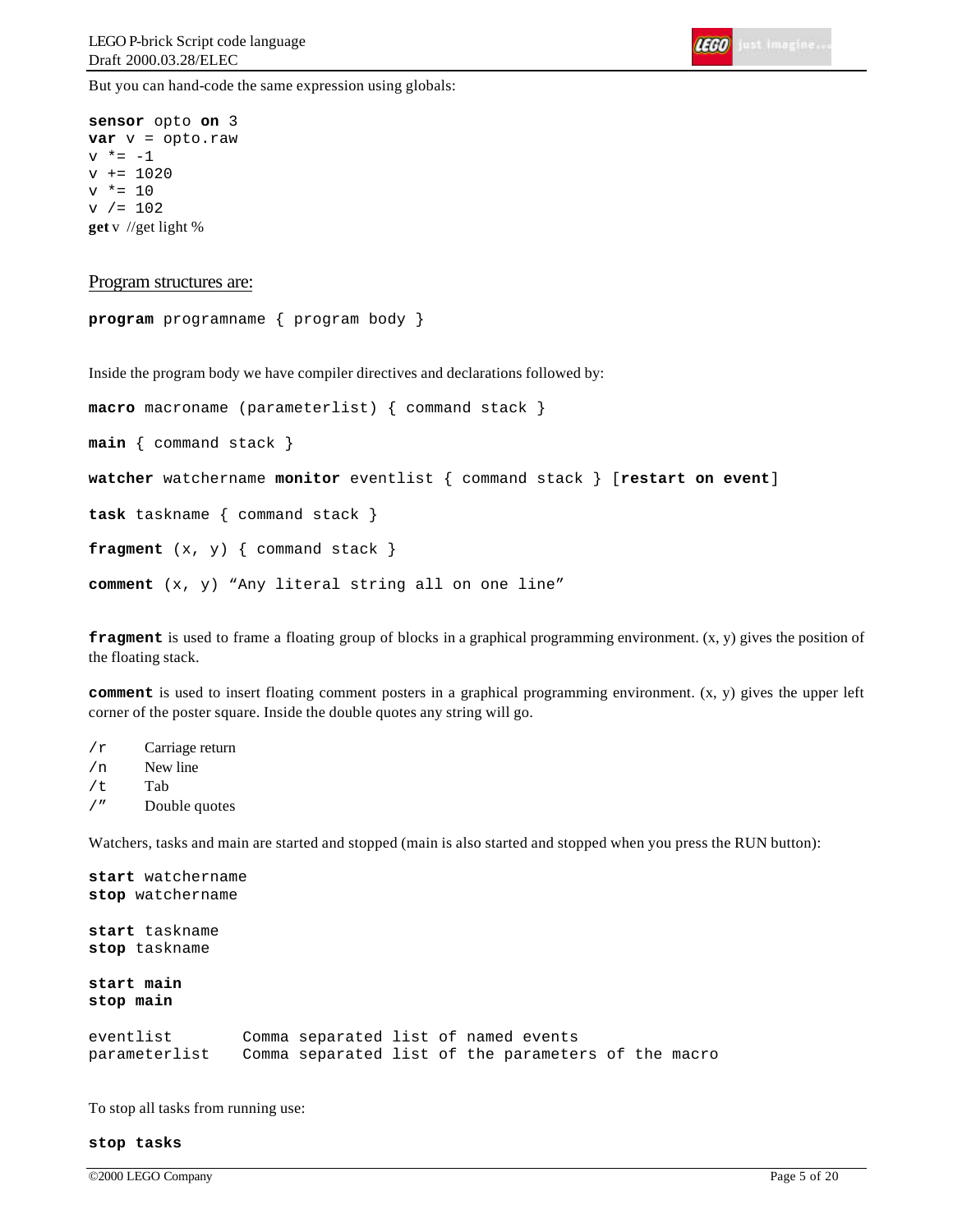IEGO Just imagine.

But you can hand-code the same expression using globals:

```
sensor opto on 3
var v = opto.raw
v * = -1v += 1020
v * = 10v / = 102get v //get light %
```
#### Program structures are:

```
program programname { program body }
```
Inside the program body we have compiler directives and declarations followed by:

```
macro macroname (parameterlist) { command stack }
main { command stack }
watcher watchername monitor eventlist { command stack } [restart on event]
task taskname { command stack }
fragment (x, y) { command stack }
comment (x, y) "Any literal string all on one line"
```
**fragment** is used to frame a floating group of blocks in a graphical programming environment.  $(x, y)$  gives the position of the floating stack.

**comment** is used to insert floating comment posters in a graphical programming environment.  $(x, y)$  gives the upper left corner of the poster square. Inside the double quotes any string will go.

- /r Carriage return
- /n New line
- /t Tab
- /" Double quotes

Watchers, tasks and main are started and stopped (main is also started and stopped when you press the RUN button):

```
start watchername
stop watchername
start taskname
stop taskname
start main
stop main
eventlist Comma separated list of named events
parameterlist Comma separated list of the parameters of the macro
```
To stop all tasks from running use:

#### **stop tasks**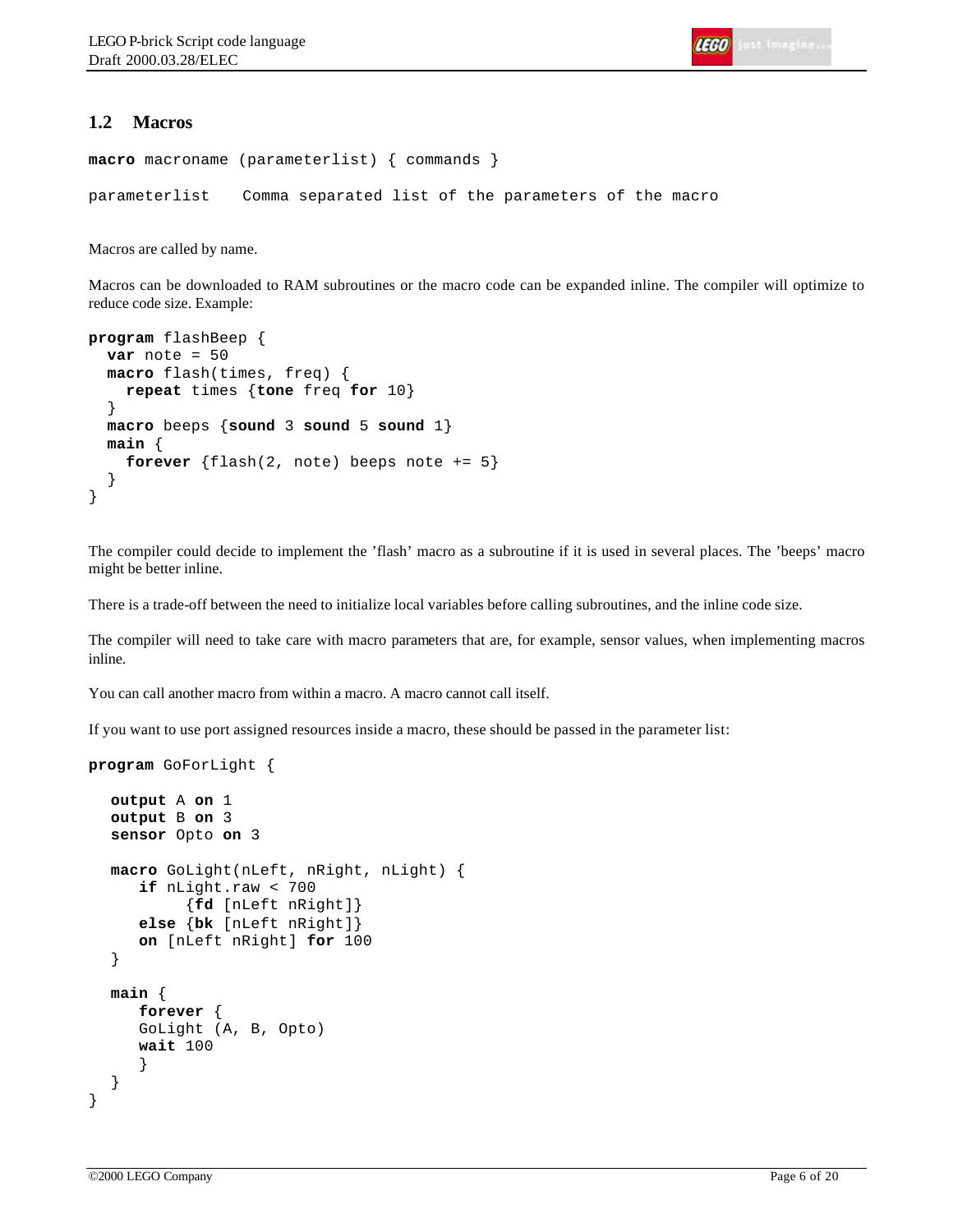# **1.2 Macros**

```
macro macroname (parameterlist) { commands }
parameterlist Comma separated list of the parameters of the macro
```
Macros are called by name.

Macros can be downloaded to RAM subroutines or the macro code can be expanded inline. The compiler will optimize to reduce code size. Example:

```
program flashBeep {
 var note = 50 macro flash(times, freq) {
     repeat times {tone freq for 10}
   }
  macro beeps {sound 3 sound 5 sound 1}
  main {
    forever \{flashz, note\} beeps note += 5 }
}
```
The compiler could decide to implement the 'flash' macro as a subroutine if it is used in several places. The 'beeps' macro might be better inline.

There is a trade-off between the need to initialize local variables before calling subroutines, and the inline code size.

The compiler will need to take care with macro parameters that are, for example, sensor values, when implementing macros inline.

You can call another macro from within a macro. A macro cannot call itself.

If you want to use port assigned resources inside a macro, these should be passed in the parameter list:

```
program GoForLight {
```

```
output A on 1
  output B on 3
  sensor Opto on 3
  macro GoLight(nLeft, nRight, nLight) {
      if nLight.raw < 700
            {fd [nLeft nRight]}
      else {bk [nLeft nRight]}
      on [nLeft nRight] for 100
  }
  main {
      forever {
      GoLight (A, B, Opto)
      wait 100
      }
  }
}
```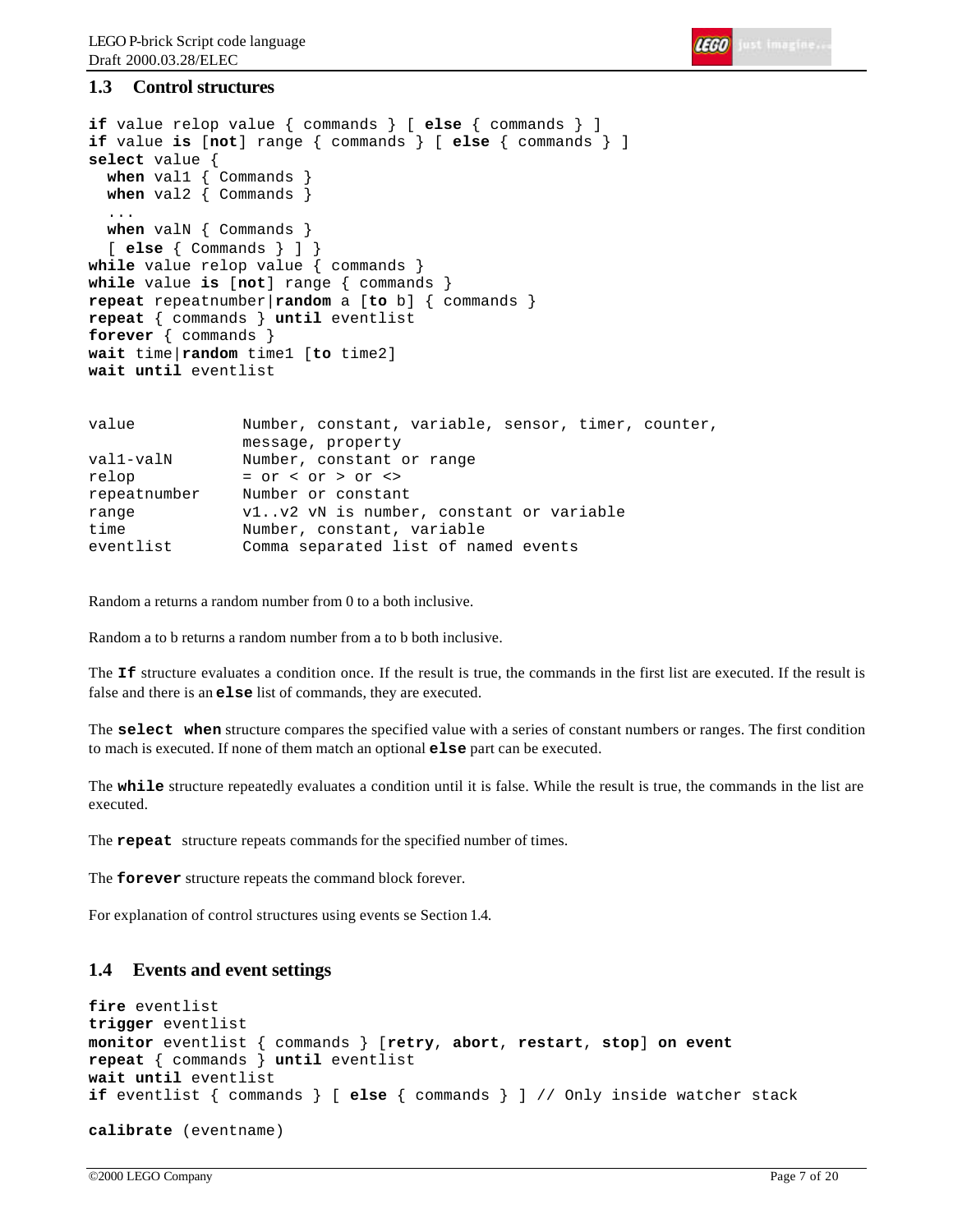

# **1.3 Control structures**

```
if value relop value { commands } [ else { commands } ]
if value is [not] range { commands } [ else { commands } ]
select value {
  when val1 { Commands }
  when val2 { Commands }
 ...
  when valN { Commands }
   [ else { Commands } ] }
while value relop value { commands }
while value is [not] range { commands }
repeat repeatnumber|random a [to b] { commands }
repeat { commands } until eventlist 
forever { commands }
wait time|random time1 [to time2]
wait until eventlist
value Number, constant, variable, sensor, timer, counter, 
                message, property
val1-valN Number, constant or range
relop = or < or > or <>
repeatnumber Number or constant
```
eventlist Comma separated list of named events

range v1..v2 vN is number, constant or variable

Random a returns a random number from 0 to a both inclusive.

time Number, constant, variable

Random a to b returns a random number from a to b both inclusive.

The **If** structure evaluates a condition once. If the result is true, the commands in the first list are executed. If the result is false and there is an **else** list of commands, they are executed.

The **select when** structure compares the specified value with a series of constant numbers or ranges. The first condition to mach is executed. If none of them match an optional **else** part can be executed.

The **while** structure repeatedly evaluates a condition until it is false. While the result is true, the commands in the list are executed.

The **repeat** structure repeats commands for the specified number of times.

The **forever** structure repeats the command block forever.

For explanation of control structures using events se Section 1.4.

# **1.4 Events and event settings**

```
fire eventlist
trigger eventlist
monitor eventlist { commands } [retry, abort, restart, stop] on event
repeat { commands } until eventlist 
wait until eventlist
if eventlist { commands } [ else { commands } ] // Only inside watcher stack
calibrate (eventname)
```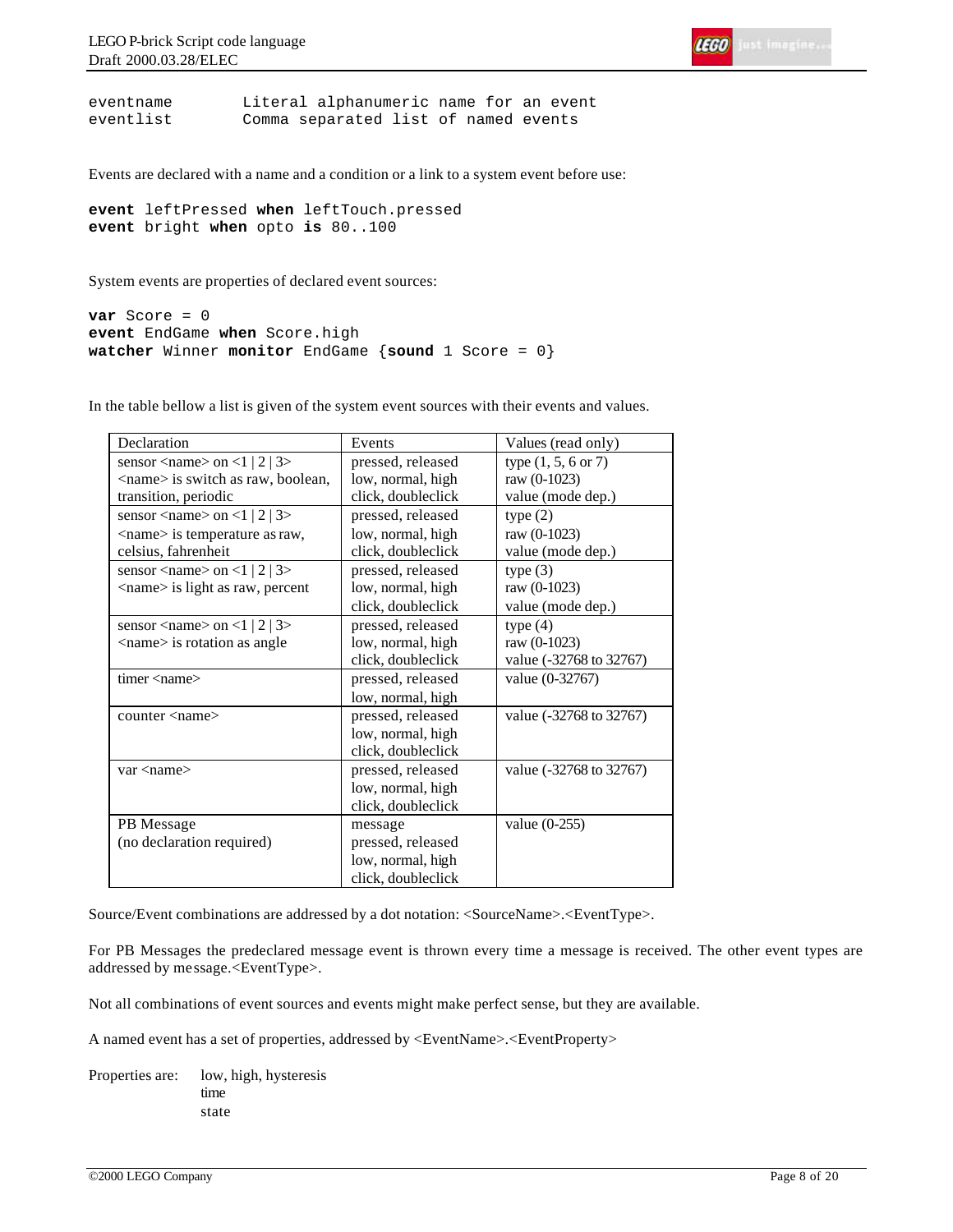

eventname Literal alphanumeric name for an event eventlist Comma separated list of named events

Events are declared with a name and a condition or a link to a system event before use:

```
event leftPressed when leftTouch.pressed
event bright when opto is 80..100
```
System events are properties of declared event sources:

```
var Score = 0
event EndGame when Score.high
watcher Winner monitor EndGame {sound 1 Score = 0}
```
Declaration Events Values (read only) sensor  $\langle$ name $\rangle$  on  $\langle$ 1 | 2 | 3 $\rangle$ <name> is switch as raw, boolean, transition, periodic pressed, released low, normal, high click, doubleclick type (1, 5, 6 or 7) raw (0-1023) value (mode dep.) sensor  $\langle$ name $>$  on  $\langle$ 1 | 2 | 3 $>$ <name> is temperature as raw, celsius, fahrenheit pressed, released low, normal, high click, doubleclick type  $(2)$ raw (0-1023) value (mode dep.) sensor  $\langle$ name $\rangle$  on  $\langle$ 1 | 2 | 3 $\rangle$ <name> is light as raw, percent pressed, released low, normal, high click, doubleclick type (3) raw (0-1023) value (mode dep.) sensor  $\langle$ name $>$  on  $\langle$ 1 | 2 | 3 $>$ <name> is rotation as angle pressed, released low, normal, high click, doubleclick type  $(4)$ raw (0-1023) value (-32768 to 32767) timer <name> pressed, released low, normal, high value (0-32767) counter <name> pressed, released low, normal, high click, doubleclick value (-32768 to 32767) var <name> pressed, released low, normal, high click, doubleclick value (-32768 to 32767) PB Message (no declaration required) message pressed, released low, normal, high click, doubleclick value (0-255)

In the table bellow a list is given of the system event sources with their events and values.

Source/Event combinations are addressed by a dot notation: <SourceName>.<EventType>.

For PB Messages the predeclared message event is thrown every time a message is received. The other event types are addressed by message.<EventType>.

Not all combinations of event sources and events might make perfect sense, but they are available.

A named event has a set of properties, addressed by <EventName>.<EventProperty>

Properties are: low, high, hysteresis time state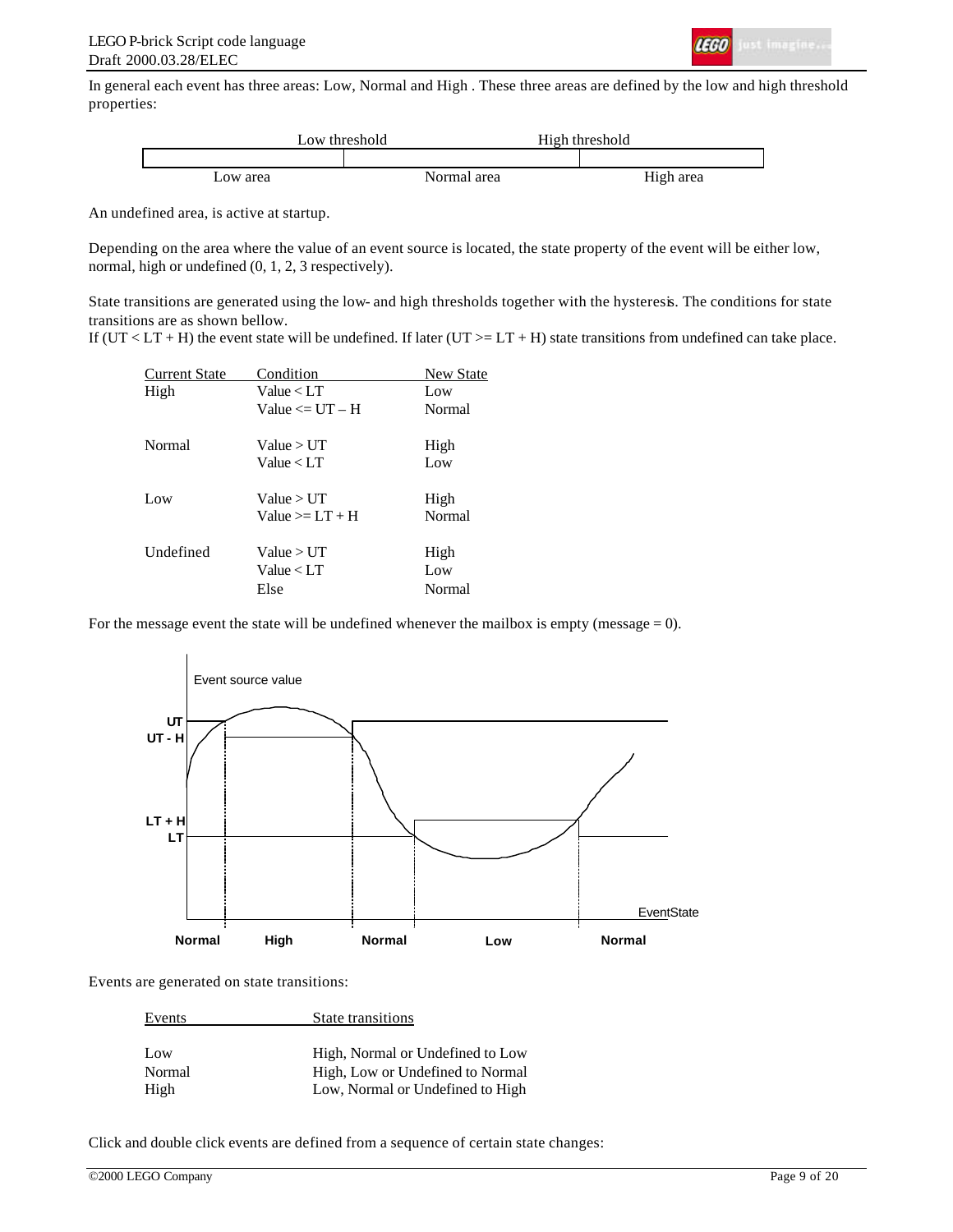

In general each event has three areas: Low, Normal and High . These three areas are defined by the low and high threshold properties:



An undefined area, is active at startup.

Depending on the area where the value of an event source is located, the state property of the event will be either low, normal, high or undefined (0, 1, 2, 3 respectively).

State transitions are generated using the low- and high thresholds together with the hysteresis. The conditions for state transitions are as shown bellow.

If ( $UT < LT + H$ ) the event state will be undefined. If later ( $UT > = LT + H$ ) state transitions from undefined can take place.

| <b>Current State</b> | Condition              | <b>New State</b> |
|----------------------|------------------------|------------------|
| High                 | Value < LT             | Low              |
|                      | Value $\le$ I IT $-$ H | Normal           |
| Normal               | Value > UT             | High             |
|                      | Value < LT             | Low              |
| Low                  | Value > UT             | High             |
|                      | Value $\geq 1$ . T + H | Normal           |
| Undefined            | Value > I/T            | High             |
|                      | Value < LT             | Low              |
|                      | Else                   | Normal           |

For the message event the state will be undefined whenever the mailbox is empty (message  $= 0$ ).



Events are generated on state transitions:

| Events | State transitions                |
|--------|----------------------------------|
|        |                                  |
| Low    | High, Normal or Undefined to Low |
| Normal | High, Low or Undefined to Normal |
| High   | Low, Normal or Undefined to High |
|        |                                  |

Click and double click events are defined from a sequence of certain state changes: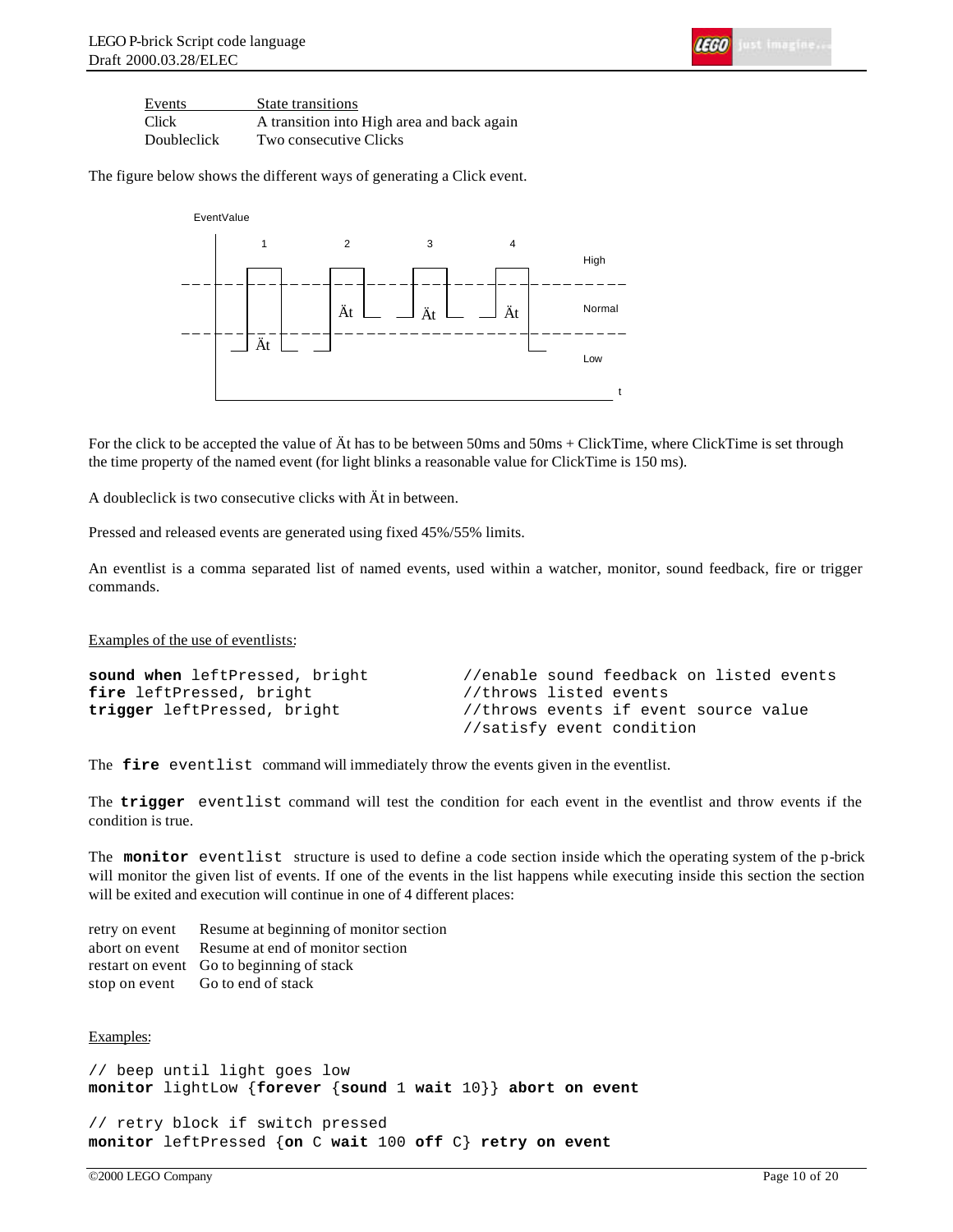| <b>LEGO</b> |  |
|-------------|--|
|             |  |

| Events      | State transitions                          |
|-------------|--------------------------------------------|
| Click       | A transition into High area and back again |
| Doubleclick | Two consecutive Clicks                     |

The figure below shows the different ways of generating a Click event.



For the click to be accepted the value of Ät has to be between 50ms and 50ms + ClickTime, where ClickTime is set through the time property of the named event (for light blinks a reasonable value for ClickTime is 150 ms).

A doubleclick is two consecutive clicks with Ät in between.

Pressed and released events are generated using fixed 45%/55% limits.

An eventlist is a comma separated list of named events, used within a watcher, monitor, sound feedback, fire or trigger commands.

Examples of the use of eventlists:

| sound when leftPressed, bright | //enable sound feedback on listed events |
|--------------------------------|------------------------------------------|
| fire leftPressed, bright       | //throws listed events                   |
| trigger leftPressed, bright    | //throws events if event source value    |
|                                | //satisfy event condition                |

The **fire** eventlist command will immediately throw the events given in the eventlist.

The **trigger** eventlist command will test the condition for each event in the eventlist and throw events if the condition is true.

The **monitor** eventlist structure is used to define a code section inside which the operating system of the p-brick will monitor the given list of events. If one of the events in the list happens while executing inside this section the section will be exited and execution will continue in one of 4 different places:

retry on event Resume at beginning of monitor section abort on event Resume at end of monitor section restart on event Go to beginning of stack stop on event Go to end of stack

#### Examples:

// beep until light goes low **monitor** lightLow {**forever** {**sound** 1 **wait** 10}} **abort on event**

// retry block if switch pressed **monitor** leftPressed {**on** C **wait** 100 **off** C} **retry on event**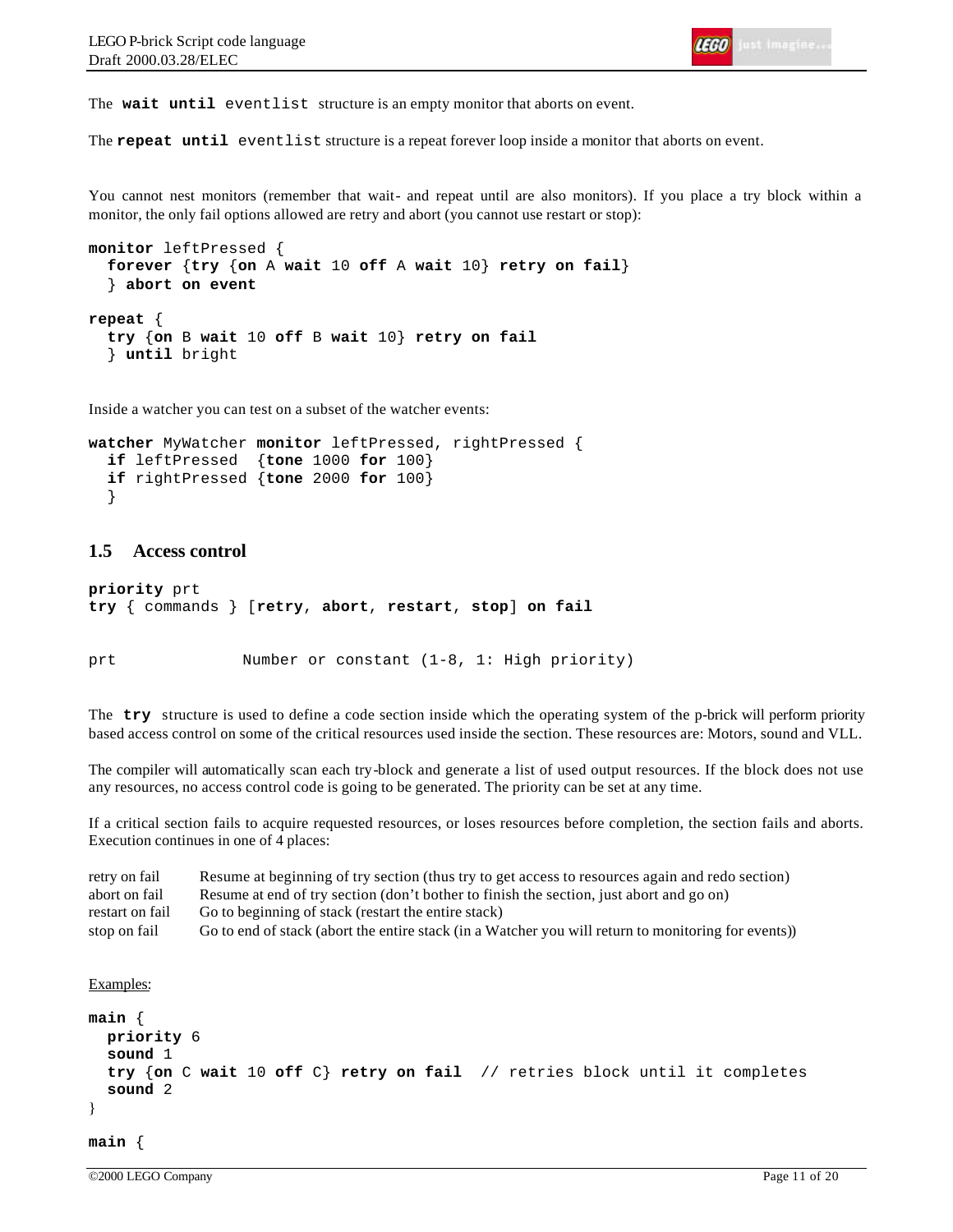The **wait until** eventlist structure is an empty monitor that aborts on event.

The **repeat until** eventlist structure is a repeat forever loop inside a monitor that aborts on event.

You cannot nest monitors (remember that wait- and repeat until are also monitors). If you place a try block within a monitor, the only fail options allowed are retry and abort (you cannot use restart or stop):

```
monitor leftPressed {
   forever {try {on A wait 10 off A wait 10} retry on fail}
   } abort on event
repeat {
   try {on B wait 10 off B wait 10} retry on fail
   } until bright
```
Inside a watcher you can test on a subset of the watcher events:

```
watcher MyWatcher monitor leftPressed, rightPressed {
   if leftPressed {tone 1000 for 100}
   if rightPressed {tone 2000 for 100}
   }
```
## **1.5 Access control**

```
priority prt
try { commands } [retry, abort, restart, stop] on fail
```
prt Number or constant (1-8, 1: High priority)

The **try** structure is used to define a code section inside which the operating system of the p-brick will perform priority based access control on some of the critical resources used inside the section. These resources are: Motors, sound and VLL.

The compiler will automatically scan each try-block and generate a list of used output resources. If the block does not use any resources, no access control code is going to be generated. The priority can be set at any time.

If a critical section fails to acquire requested resources, or loses resources before completion, the section fails and aborts. Execution continues in one of 4 places:

| retry on fail   | Resume at beginning of try section (thus try to get access to resources again and redo section)     |
|-----------------|-----------------------------------------------------------------------------------------------------|
| abort on fail   | Resume at end of try section (don't bother to finish the section, just abort and go on)             |
| restart on fail | Go to beginning of stack (restart the entire stack)                                                 |
| stop on fail    | Go to end of stack (abort the entire stack (in a Watcher you will return to monitoring for events)) |

```
Examples:
```

```
main { 
   priority 6
   sound 1
   try {on C wait 10 off C} retry on fail // retries block until it completes
   sound 2
}
main {
```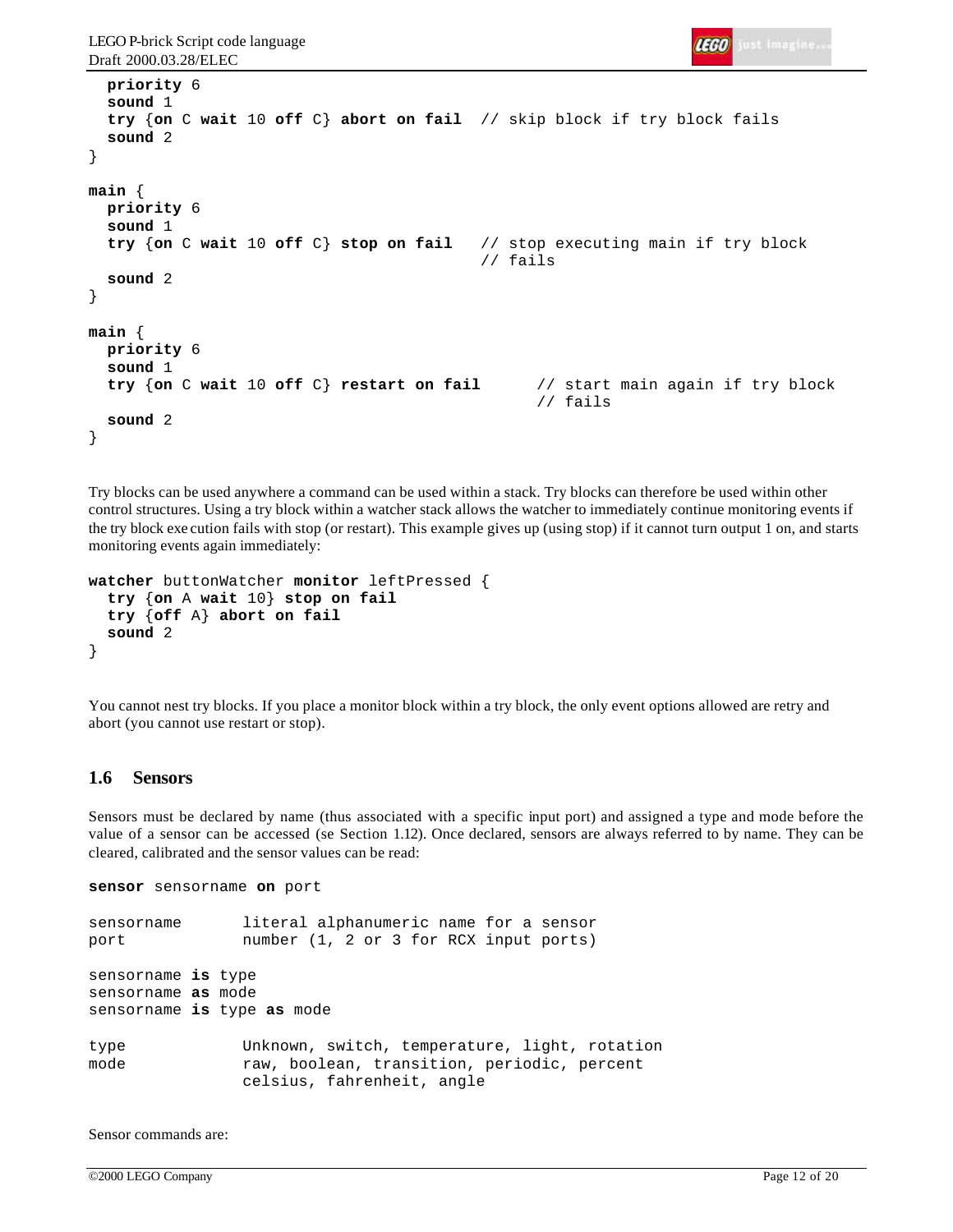```
IEGO Just imagine
```

```
 priority 6
   sound 1
   try {on C wait 10 off C} abort on fail // skip block if try block fails
   sound 2
}
main {
   priority 6
   sound 1
   try {on C wait 10 off C} stop on fail // stop executing main if try block
                                            // fails
   sound 2
}
main {
   priority 6
   sound 1
   try {on C wait 10 off C} restart on fail // start main again if try block
                                                  // fails
   sound 2
}
```
Try blocks can be used anywhere a command can be used within a stack. Try blocks can therefore be used within other control structures. Using a try block within a watcher stack allows the watcher to immediately continue monitoring events if the try block exe cution fails with stop (or restart). This example gives up (using stop) if it cannot turn output 1 on, and starts monitoring events again immediately:

```
watcher buttonWatcher monitor leftPressed {
   try {on A wait 10} stop on fail
   try {off A} abort on fail
   sound 2
}
```
You cannot nest try blocks. If you place a monitor block within a try block, the only event options allowed are retry and abort (you cannot use restart or stop).

#### **1.6 Sensors**

Sensors must be declared by name (thus associated with a specific input port) and assigned a type and mode before the value of a sensor can be accessed (se Section 1.12). Once declared, sensors are always referred to by name. They can be cleared, calibrated and the sensor values can be read:

```
sensor sensorname on port
```

```
sensorname literal alphanumeric name for a sensor
port number (1, 2 or 3 for RCX input ports)
sensorname is type
sensorname as mode
sensorname is type as mode
type Unknown, switch, temperature, light, rotation
mode raw, boolean, transition, periodic, percent
              celsius, fahrenheit, angle
```
Sensor commands are: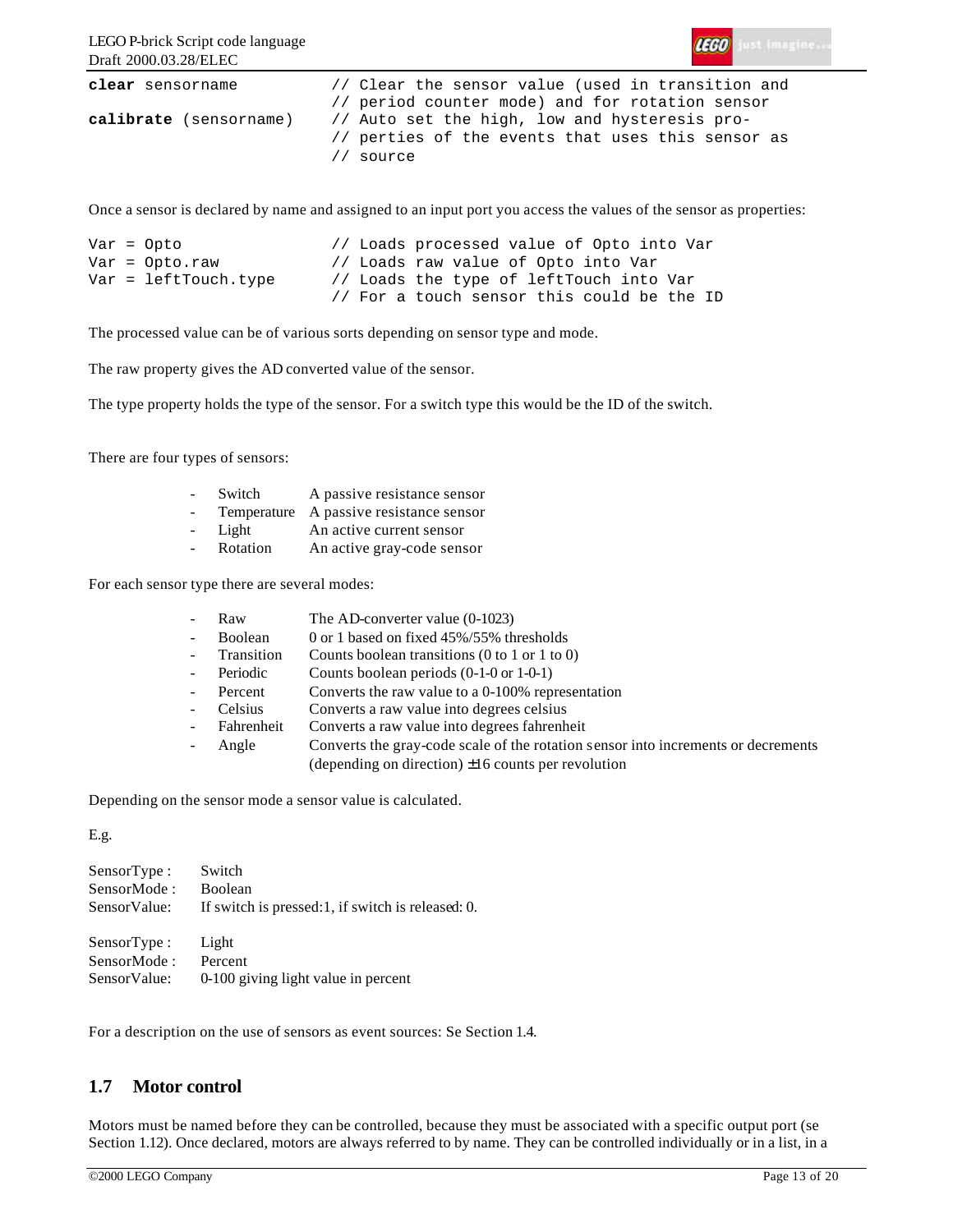

| clear sensorname       | // Clear the sensor value (used in transition and |
|------------------------|---------------------------------------------------|
|                        | // period counter mode) and for rotation sensor   |
| calibrate (sensorname) | // Auto set the high, low and hysteresis pro-     |
|                        | // perties of the events that uses this sensor as |
|                        | // source                                         |

Once a sensor is declared by name and assigned to an input port you access the values of the sensor as properties:

```
Var = Opto // Loads processed value of Opto into Var
Var = Opto.raw // Loads raw value of Opto into Var
Var = leftTouch.type // Loads the type of leftTouch into Var
                      // For a touch sensor this could be the ID
```
The processed value can be of various sorts depending on sensor type and mode.

The raw property gives the AD converted value of the sensor.

The type property holds the type of the sensor. For a switch type this would be the ID of the switch.

There are four types of sensors:

| $\sim$ | Switch   | A passive resistance sensor             |
|--------|----------|-----------------------------------------|
| $\sim$ |          | Temperature A passive resistance sensor |
| $\sim$ | Light    | An active current sensor                |
| $\sim$ | Rotation | An active gray-code sensor              |

For each sensor type there are several modes:

|                    | Raw          | The AD-converter value $(0-1023)$                                                 |
|--------------------|--------------|-----------------------------------------------------------------------------------|
| $\sim$             | Boolean      | 0 or 1 based on fixed 45%/55% thresholds                                          |
| $\sim 10^{-1}$     | Transition   | Counts boolean transitions $(0 \text{ to } 1 \text{ or } 1 \text{ to } 0)$        |
|                    | Periodic     | Counts boolean periods $(0-1-0)$ or $1-0-1$ )                                     |
| $\sim$             | Percent      | Converts the raw value to a 0-100% representation                                 |
| $\Delta \sim 10^4$ | Celsius      | Converts a raw value into degrees celsius                                         |
|                    | - Fahrenheit | Converts a raw value into degrees fahrenheit                                      |
|                    | Angle        | Converts the gray-code scale of the rotation sensor into increments or decrements |
|                    |              | (depending on direction) $\pm 16$ counts per revolution                           |

Depending on the sensor mode a sensor value is calculated.

E.g.

| SensorType :<br>SensorMode:<br>SensorValue: | Switch<br><b>Boolean</b><br>If switch is pressed: 1, if switch is released: 0. |
|---------------------------------------------|--------------------------------------------------------------------------------|
| SensorType :                                | Light                                                                          |
| SensorMode:                                 | Percent                                                                        |
| SensorValue:                                | 0-100 giving light value in percent                                            |

For a description on the use of sensors as event sources: Se Section 1.4.

# **1.7 Motor control**

Motors must be named before they can be controlled, because they must be associated with a specific output port (se Section 1.12). Once declared, motors are always referred to by name. They can be controlled individually or in a list, in a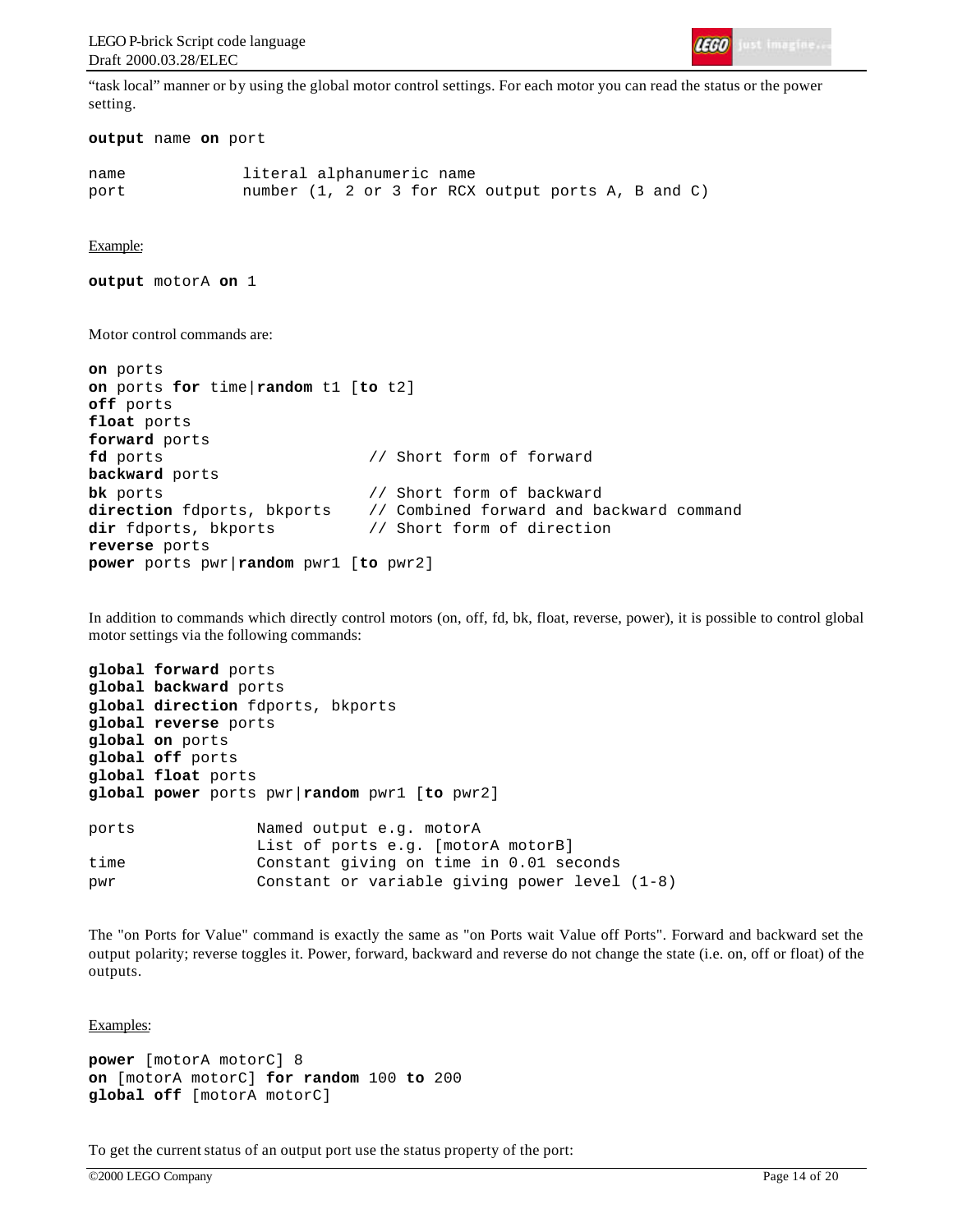

"task local" manner or by using the global motor control settings. For each motor you can read the status or the power setting.

```
output name on port
```
name literal alphanumeric name port number (1, 2 or 3 for RCX output ports A, B and C)

Example:

**output** motorA **on** 1

Motor control commands are:

```
on ports
on ports for time|random t1 [to t2]
off ports
float ports
forward ports
fd ports // Short form of forward
backward ports
bk ports \sqrt{2} // Short form of backward
direction fdports, bkports // Combined forward and backward command
dir fdports, bkports // Short form of direction
reverse ports
power ports pwr|random pwr1 [to pwr2]
```
In addition to commands which directly control motors (on, off, fd, bk, float, reverse, power), it is possible to control global motor settings via the following commands:

```
global forward ports
global backward ports
global direction fdports, bkports
global reverse ports
global on ports
global off ports
global float ports
global power ports pwr|random pwr1 [to pwr2]
ports Named output e.g. motorA
                List of ports e.g. [motorA motorB]
time Constant giving on time in 0.01 seconds
pwr Constant or variable giving power level (1-8)
```
The "on Ports for Value" command is exactly the same as "on Ports wait Value off Ports". Forward and backward set the output polarity; reverse toggles it. Power, forward, backward and reverse do not change the state (i.e. on, off or float) of the outputs.

Examples:

```
power [motorA motorC] 8
on [motorA motorC] for random 100 to 200
global off [motorA motorC]
```
To get the current status of an output port use the status property of the port: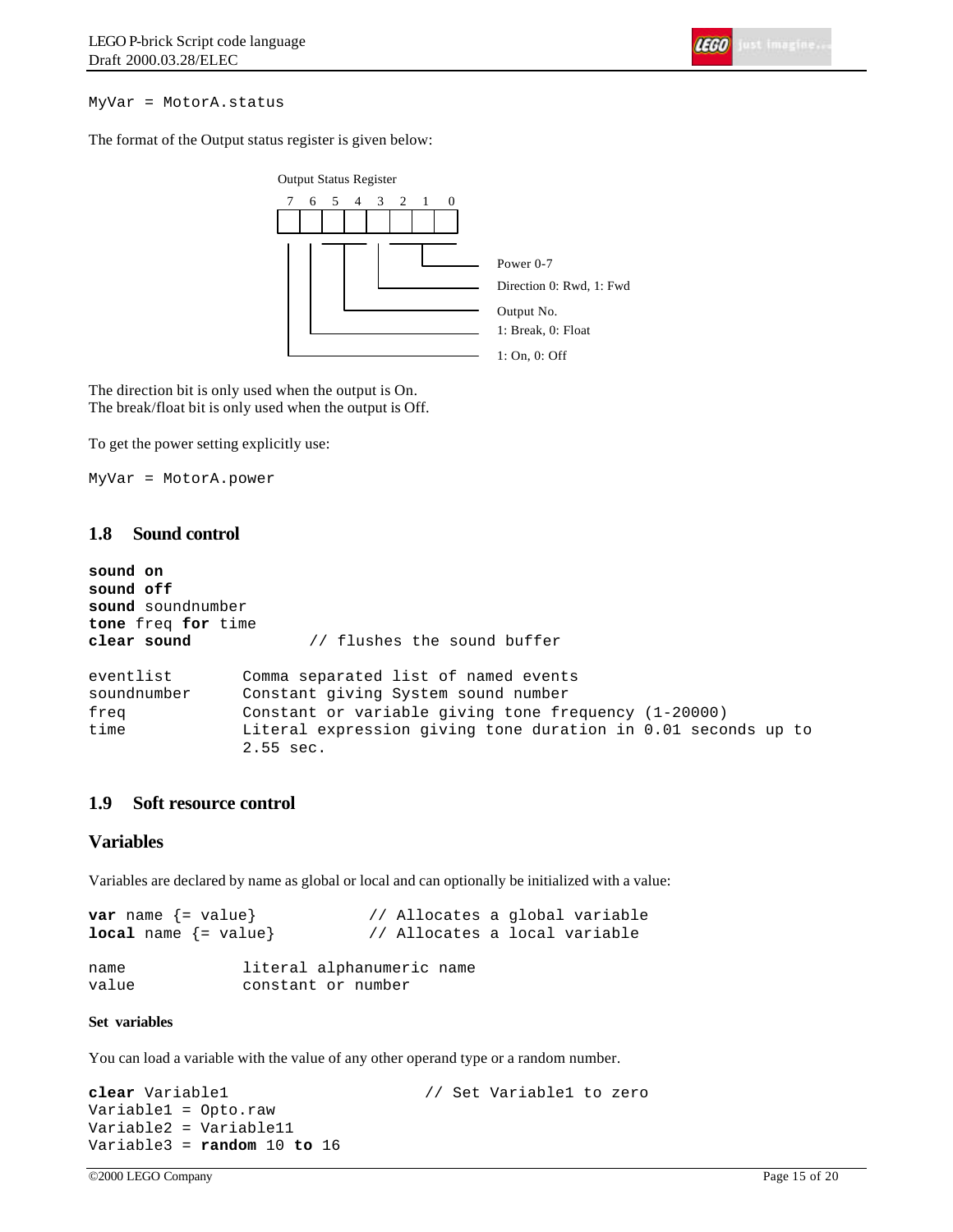MyVar = MotorA.status

The format of the Output status register is given below:



The direction bit is only used when the output is On. The break/float bit is only used when the output is Off.

To get the power setting explicitly use:

MyVar = MotorA.power

## **1.8 Sound control**

```
sound on
sound off
sound soundnumber
tone freq for time
clear sound // flushes the sound buffer
eventlist Comma separated list of named events
soundnumber Constant giving System sound number
freq Constant or variable giving tone frequency (1-20000)
time Literal expression giving tone duration in 0.01 seconds up to
              2.55 sec.
```
# **1.9 Soft resource control**

# **Variables**

Variables are declared by name as global or local and can optionally be initialized with a value:

```
var name {= value} \begin{array}{ccc} & & // & \text{Allocates a global variable} \\ \text{local name} & & & // & \text{Allocates a local variable} \end{array}// Allocates a local variable
name literal alphanumeric name
value constant or number
```
#### **Set variables**

You can load a variable with the value of any other operand type or a random number.

```
clear Variable1 // Set Variable1 to zero
Variable1 = Opto.raw
Variable2 = Variable11
Variable3 = random 10 to 16
```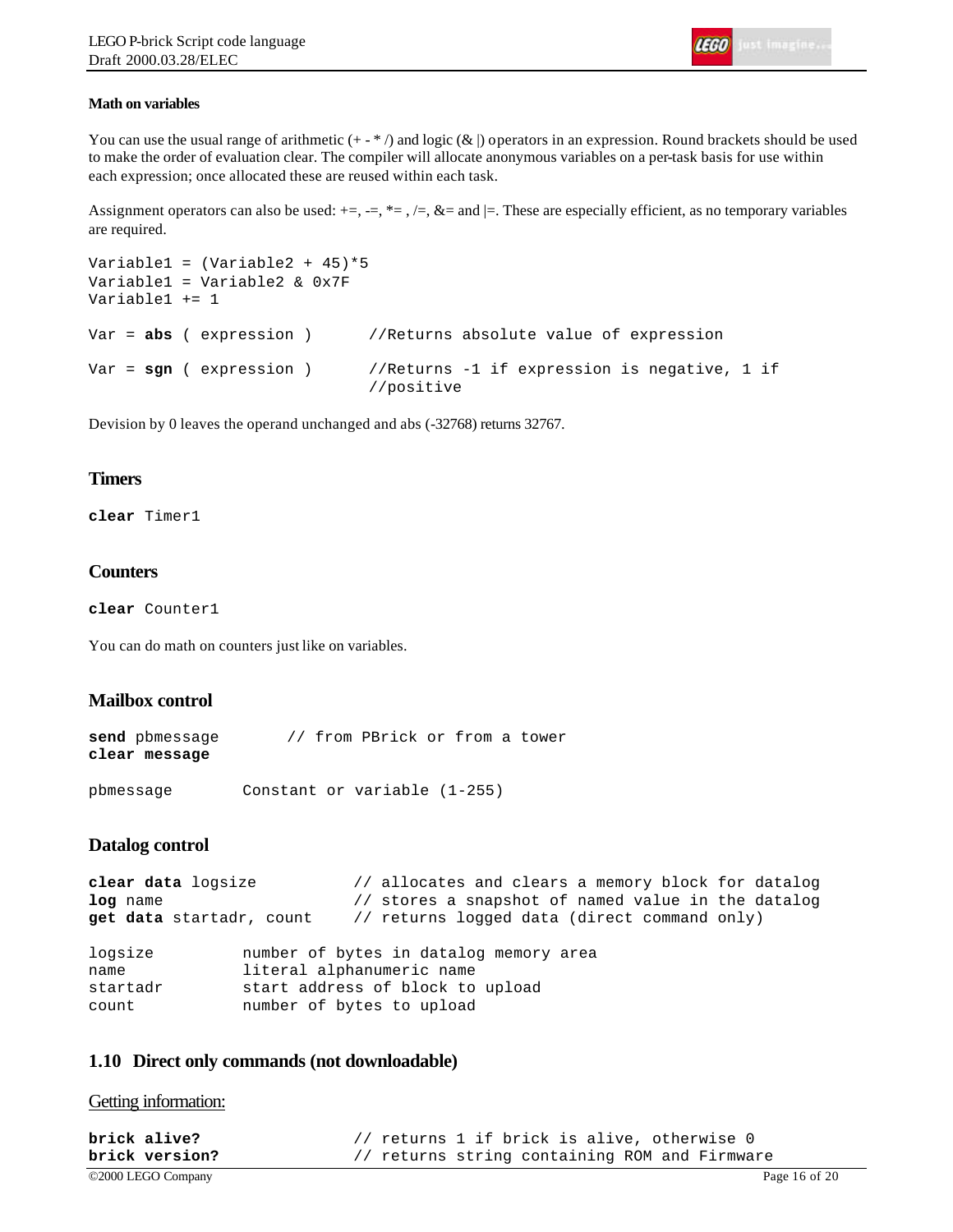#### **Math on variables**

You can use the usual range of arithmetic  $(+\cdot^*)$  and logic  $(\&)$  operators in an expression. Round brackets should be used to make the order of evaluation clear. The compiler will allocate anonymous variables on a per-task basis for use within each expression; once allocated these are reused within each task.

Assignment operators can also be used:  $+=, =, \neq, /=, \&=$  and  $\models$ . These are especially efficient, as no temporary variables are required.

```
Variable1 = (Variable2 + 45)*5Variable1 = Variable2 & 0x7F
Variable1 += 1
Var = abs ( expression ) //Returns absolute value of expression
Var = sgn ( expression ) //Returns -1 if expression is negative, 1 if
                             //positive
```
Devision by 0 leaves the operand unchanged and abs (-32768) returns 32767.

#### **Timers**

**clear** Timer1

## **Counters**

**clear** Counter1

You can do math on counters just like on variables.

## **Mailbox control**

| send pbmessage |  | // from PBrick or from a tower |  |  |
|----------------|--|--------------------------------|--|--|
| clear message  |  |                                |  |  |

| pbmessage |  |  | Constant or variable (1-255) |  |
|-----------|--|--|------------------------------|--|
|-----------|--|--|------------------------------|--|

#### **Datalog control**

```
clear data logsize // allocates and clears a memory block for datalog
log name // stores a snapshot of named value in the datalog
get data startadr, count // returns logged data (direct command only)
logsize number of bytes in datalog memory area
name literal alphanumeric name
startadr start address of block to upload
count number of bytes to upload
```
#### **1.10 Direct only commands (not downloadable)**

Getting information:

| brick alive?       | // returns 1 if brick is alive, otherwise 0   |  |  |  |  |               |
|--------------------|-----------------------------------------------|--|--|--|--|---------------|
| brick version?     | // returns string containing ROM and Firmware |  |  |  |  |               |
| ©2000 LEGO Company |                                               |  |  |  |  | Page 16 of 20 |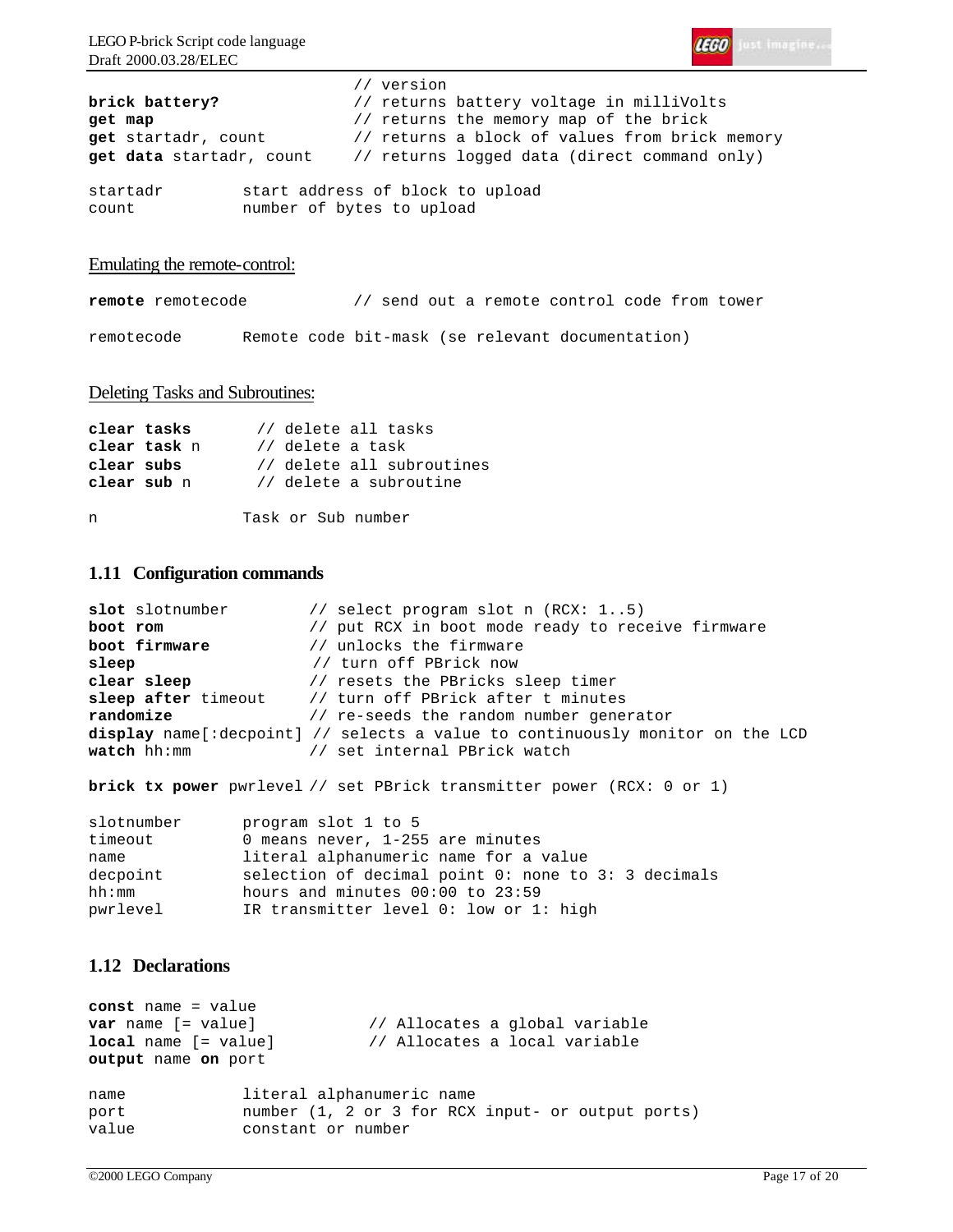

|                                              | // version |                                                                              |
|----------------------------------------------|------------|------------------------------------------------------------------------------|
| brick battery?                               |            | // returns battery voltage in milliVolts                                     |
| get map                                      |            | // returns the memory map of the brick                                       |
| get startadr, count                          |            | // returns a block of values from brick memory                               |
|                                              |            | <b>get data</b> startadr, count // returns logged data (direct command only) |
| start address of block to upload<br>startadr |            |                                                                              |

count number of bytes to upload

#### Emulating the remote-control:

**remote** remotecode // send out a remote control code from tower remotecode Remote code bit-mask (se relevant documentation)

#### Deleting Tasks and Subroutines:

|            | clear tasks  | // delete all tasks       |
|------------|--------------|---------------------------|
|            | clear task n | // delete a task          |
| clear subs |              | // delete all subroutines |
|            | clear sub n  | // delete a subroutine    |
|            |              |                           |
| n          |              | Task or Sub number        |

## **1.11 Configuration commands**

```
slot slotnumber // select program slot n (RCX: 1..5)
boot rom \frac{1}{2} put RCX in boot mode ready to receive firmware
boot firmware \frac{1}{2} // unlocks the firmware
sleep // turn off PBrick now
clear sleep // resets the PBricks sleep timer
sleep after timeout // turn off PBrick after t minutes
randomize // re-seeds the random number generator
display name[:decpoint] // selects a value to continuously monitor on the LCD
watch hh:mm \frac{1}{2} set internal PBrick watch
```
**brick tx power** pwrlevel // set PBrick transmitter power (RCX: 0 or 1)

```
slotnumber program slot 1 to 5
timeout 0 means never, 1-255 are minutes
name literal alphanumeric name for a value
decpoint selection of decimal point 0: none to 3: 3 decimals
hh:mm hours and minutes 00:00 to 23:59
pwrlevel IR transmitter level 0: low or 1: high
```
# **1.12 Declarations**

```
const name = value
var name [= value] // Allocates a global variable
local name [= value] // Allocates a local variable
output name on port
name literal alphanumeric name
port number (1, 2 or 3 for RCX input- or output ports)
value constant or number
```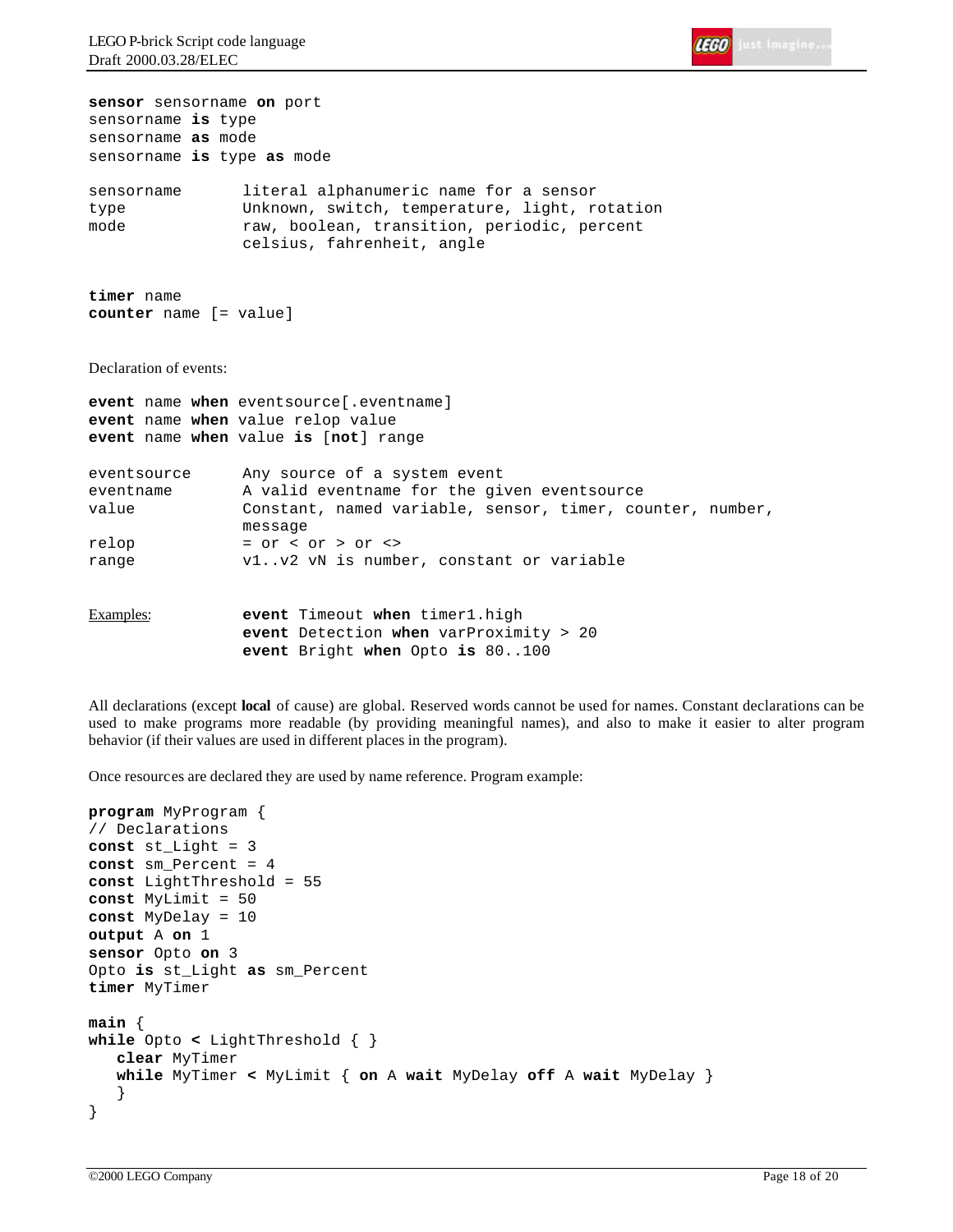

**sensor** sensorname **on** port sensorname **is** type sensorname **as** mode sensorname **is** type **as** mode sensorname literal alphanumeric name for a sensor type Unknown, switch, temperature, light, rotation mode raw, boolean, transition, periodic, percent celsius, fahrenheit, angle **timer** name **counter** name [= value] Declaration of events: **event** name **when** eventsource[.eventname] **event** name **when** value relop value **event** name **when** value **is** [**not**] range eventsource Any source of a system event eventname A valid eventname for the given eventsource value Constant, named variable, sensor, timer, counter, number, message relop = or < or > or <> range v1..v2 vN is number, constant or variable Examples: **event** Timeout **when** timer1.high **event** Detection **when** varProximity > 20 **event** Bright **when** Opto **is** 80..100

All declarations (except **local** of cause) are global. Reserved words cannot be used for names. Constant declarations can be used to make programs more readable (by providing meaningful names), and also to make it easier to alter program behavior (if their values are used in different places in the program).

Once resources are declared they are used by name reference. Program example:

```
program MyProgram {
// Declarations
const st_Light = 3
const sm_Percent = 4
const LightThreshold = 55
const MyLimit = 50
const MyDelay = 10
output A on 1
sensor Opto on 3
Opto is st_Light as sm_Percent
timer MyTimer
main {
while Opto < LightThreshold { }
    clear MyTimer
    while MyTimer < MyLimit { on A wait MyDelay off A wait MyDelay }
    }
}
```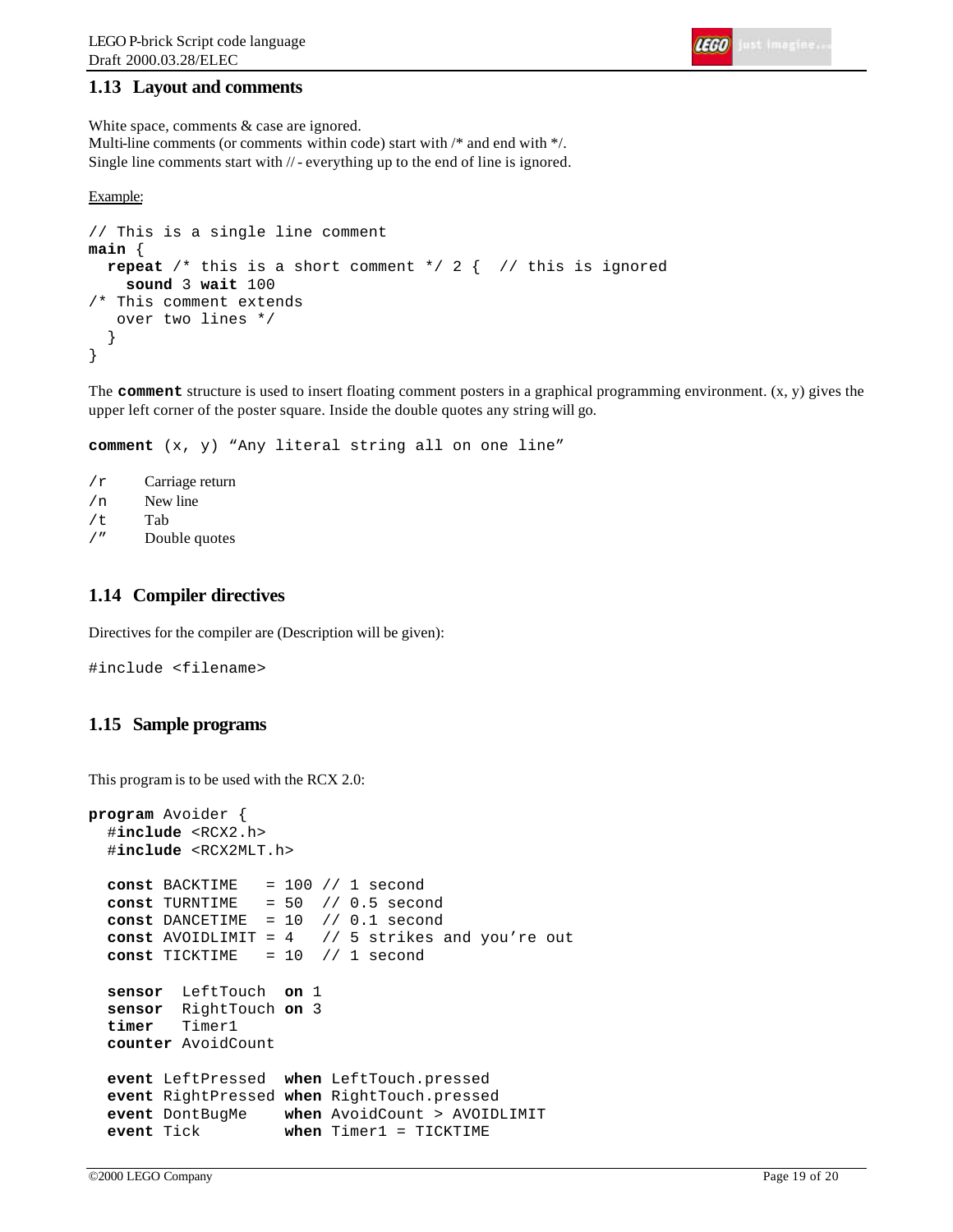# **1.13 Layout and comments**

White space, comments & case are ignored. Multi-line comments (or comments within code) start with /\* and end with \*/. Single line comments start with // - everything up to the end of line is ignored.

```
Example:
```

```
// This is a single line comment
main {
   repeat /* this is a short comment */ 2 { // this is ignored
     sound 3 wait 100
/* This comment extends
    over two lines */
 }
}
```
The **comment** structure is used to insert floating comment posters in a graphical programming environment. (x, y) gives the upper left corner of the poster square. Inside the double quotes any string will go.

**comment** (x, y) "Any literal string all on one line"

```
/r Carriage return
/n New line
/t Tab
/" Double quotes
```
# **1.14 Compiler directives**

Directives for the compiler are (Description will be given):

#include <filename>

# **1.15 Sample programs**

This program is to be used with the RCX 2.0:

```
program Avoider {
   #include <RCX2.h>
   #include <RCX2MLT.h>
  const BACKTIME = 100 // 1 second
 const TURNTIME = 50 // 0.5 second
 const DANCETIME = 10 // 0.1 second
  const AVOIDLIMIT = 4 // 5 strikes and you're out
  const TICKTIME = 10 // 1 second
  sensor LeftTouch on 1
   sensor RightTouch on 3
  timer Timer1
  counter AvoidCount
  event LeftPressed when LeftTouch.pressed
  event RightPressed when RightTouch.pressed
  event DontBugMe when AvoidCount > AVOIDLIMIT
   event Tick when Timer1 = TICKTIME
```